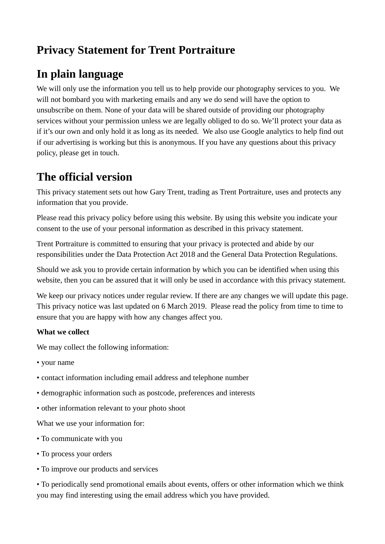## **Privacy Statement for Trent Portraiture**

# **In plain language**

We will only use the information you tell us to help provide our photography services to you. We will not bombard you with marketing emails and any we do send will have the option to unsubscribe on them. None of your data will be shared outside of providing our photography services without your permission unless we are legally obliged to do so. We'll protect your data as if it's our own and only hold it as long as its needed. We also use Google analytics to help find out if our advertising is working but this is anonymous. If you have any questions about this privacy policy, please get in touch.

## **The official version**

This privacy statement sets out how Gary Trent, trading as Trent Portraiture, uses and protects any information that you provide.

Please read this privacy policy before using this website. By using this website you indicate your consent to the use of your personal information as described in this privacy statement.

Trent Portraiture is committed to ensuring that your privacy is protected and abide by our responsibilities under the Data Protection Act 2018 and the General Data Protection Regulations.

Should we ask you to provide certain information by which you can be identified when using this website, then you can be assured that it will only be used in accordance with this privacy statement.

We keep our privacy notices under regular review. If there are any changes we will update this page. This privacy notice was last updated on 6 March 2019. Please read the policy from time to time to ensure that you are happy with how any changes affect you.

### **What we collect**

We may collect the following information:

- your name
- contact information including email address and telephone number
- demographic information such as postcode, preferences and interests
- other information relevant to your photo shoot

What we use your information for:

- To communicate with you
- To process your orders
- To improve our products and services

• To periodically send promotional emails about events, offers or other information which we think you may find interesting using the email address which you have provided.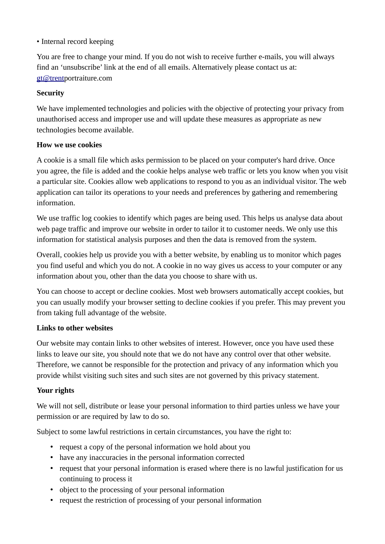#### • Internal record keeping

You are free to change your mind. If you do not wish to receive further e-mails, you will always find an 'unsubscribe' link at the end of all emails. Alternatively please contact us at: [gt@trentp](mailto:gt@trent)ortraiture.com

#### **Security**

We have implemented technologies and policies with the objective of protecting your privacy from unauthorised access and improper use and will update these measures as appropriate as new technologies become available.

#### **How we use cookies**

A cookie is a small file which asks permission to be placed on your computer's hard drive. Once you agree, the file is added and the cookie helps analyse web traffic or lets you know when you visit a particular site. Cookies allow web applications to respond to you as an individual visitor. The web application can tailor its operations to your needs and preferences by gathering and remembering information.

We use traffic log cookies to identify which pages are being used. This helps us analyse data about web page traffic and improve our website in order to tailor it to customer needs. We only use this information for statistical analysis purposes and then the data is removed from the system.

Overall, cookies help us provide you with a better website, by enabling us to monitor which pages you find useful and which you do not. A cookie in no way gives us access to your computer or any information about you, other than the data you choose to share with us.

You can choose to accept or decline cookies. Most web browsers automatically accept cookies, but you can usually modify your browser setting to decline cookies if you prefer. This may prevent you from taking full advantage of the website.

#### **Links to other websites**

Our website may contain links to other websites of interest. However, once you have used these links to leave our site, you should note that we do not have any control over that other website. Therefore, we cannot be responsible for the protection and privacy of any information which you provide whilst visiting such sites and such sites are not governed by this privacy statement.

#### **Your rights**

We will not sell, distribute or lease your personal information to third parties unless we have your permission or are required by law to do so.

Subject to some lawful restrictions in certain circumstances, you have the right to:

- request a copy of the personal information we hold about you
- have any inaccuracies in the personal information corrected
- request that your personal information is erased where there is no lawful justification for us continuing to process it
- object to the processing of your personal information
- request the restriction of processing of your personal information